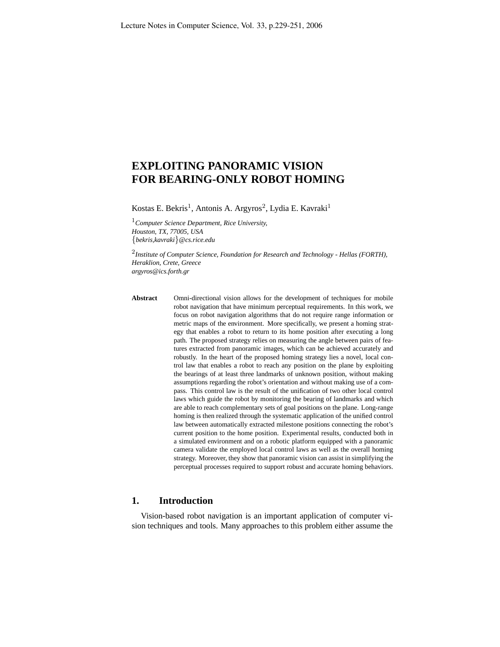# **EXPLOITING PANORAMIC VISION FOR BEARING-ONLY ROBOT HOMING**

Kostas E. Bekris<sup>1</sup>, Antonis A. Argyros<sup>2</sup>, Lydia E. Kavraki<sup>1</sup>

<sup>1</sup>*Computer Science Department, Rice University, Houston, TX, 77005, USA* {*bekris,kavraki*}*@cs.rice.edu*

2 *Institute of Computer Science, Foundation for Research and Technology - Hellas (FORTH), Heraklion, Crete, Greece argyros@ics.forth.gr*

**Abstract** Omni-directional vision allows for the development of techniques for mobile robot navigation that have minimum perceptual requirements. In this work, we focus on robot navigation algorithms that do not require range information or metric maps of the environment. More specifically, we present a homing strategy that enables a robot to return to its home position after executing a long path. The proposed strategy relies on measuring the angle between pairs of features extracted from panoramic images, which can be achieved accurately and robustly. In the heart of the proposed homing strategy lies a novel, local control law that enables a robot to reach any position on the plane by exploiting the bearings of at least three landmarks of unknown position, without making assumptions regarding the robot's orientation and without making use of a compass. This control law is the result of the unification of two other local control laws which guide the robot by monitoring the bearing of landmarks and which are able to reach complementary sets of goal positions on the plane. Long-range homing is then realized through the systematic application of the unified control law between automatically extracted milestone positions connecting the robot's current position to the home position. Experimental results, conducted both in a simulated environment and on a robotic platform equipped with a panoramic camera validate the employed local control laws as well as the overall homing strategy. Moreover, they show that panoramic vision can assist in simplifying the perceptual processes required to support robust and accurate homing behaviors.

## **1. Introduction**

Vision-based robot navigation is an important application of computer vision techniques and tools. Many approaches to this problem either assume the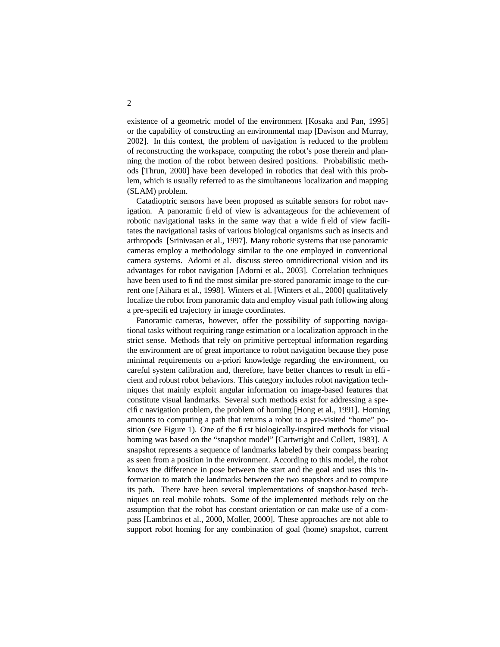existence of a geometric model of the environment [Kosaka and Pan, 1995] or the capability of constructing an environmental map [Davison and Murray, 2002]. In this context, the problem of navigation is reduced to the problem of reconstructing the workspace, computing the robot's pose therein and planning the motion of the robot between desired positions. Probabilistic methods [Thrun, 2000] have been developed in robotics that deal with this problem, which is usually referred to as the simultaneous localization and mapping (SLAM) problem.

Catadioptric sensors have been proposed as suitable sensors for robot navigation. A panoramic field of view is advantageous for the achievement of robotic navigational tasks in the same way that a wide field of view facilitates the navigational tasks of various biological organisms such as insects and arthropods [Srinivasan et al., 1997]. Many robotic systems that use panoramic cameras employ a methodology similar to the one employed in conventional camera systems. Adorni et al. discuss stereo omnidirectional vision and its advantages for robot navigation [Adorni et al., 2003]. Correlation techniques have been used to find the most similar pre-stored panoramic image to the current one [Aihara et al., 1998]. Winters et al. [Winters et al., 2000] qualitatively localize the robot from panoramic data and employ visual path following along a pre-specified trajectory in image coordinates.

Panoramic cameras, however, offer the possibility of supporting navigational tasks without requiring range estimation or a localization approach in the strict sense. Methods that rely on primitive perceptual information regarding the environment are of great importance to robot navigation because they pose minimal requirements on a-priori knowledge regarding the environment, on careful system calibration and, therefore, have better chances to result in efficient and robust robot behaviors. This category includes robot navigation techniques that mainly exploit angular information on image-based features that constitute visual landmarks. Several such methods exist for addressing a specific navigation problem, the problem of homing [Hong et al., 1991]. Homing amounts to computing a path that returns a robot to a pre-visited "home" position (see Figure 1). One of the first biologically-inspired methods for visual homing was based on the "snapshot model" [Cartwright and Collett, 1983]. A snapshot represents a sequence of landmarks labeled by their compass bearing as seen from a position in the environment. According to this model, the robot knows the difference in pose between the start and the goal and uses this information to match the landmarks between the two snapshots and to compute its path. There have been several implementations of snapshot-based techniques on real mobile robots. Some of the implemented methods rely on the assumption that the robot has constant orientation or can make use of a compass [Lambrinos et al., 2000, Moller, 2000]. These approaches are not able to support robot homing for any combination of goal (home) snapshot, current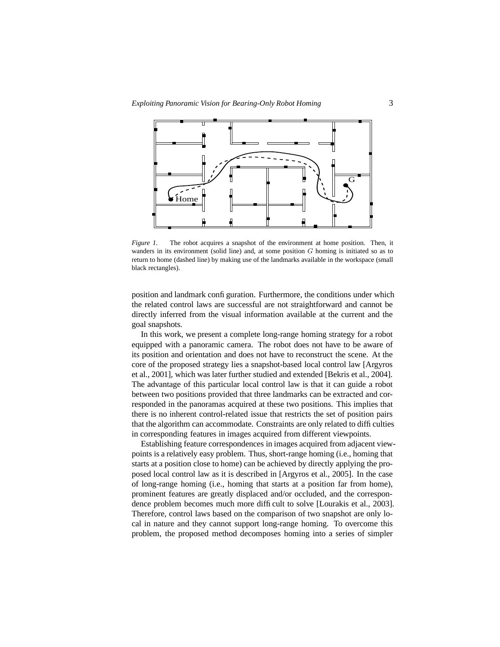

*Figure 1.* The robot acquires a snapshot of the environment at home position. Then, it wanders in its environment (solid line) and, at some position  $G$  homing is initiated so as to return to home (dashed line) by making use of the landmarks available in the workspace (small black rectangles).

position and landmark configuration. Furthermore, the conditions under which the related control laws are successful are not straightforward and cannot be directly inferred from the visual information available at the current and the goal snapshots.

In this work, we present a complete long-range homing strategy for a robot equipped with a panoramic camera. The robot does not have to be aware of its position and orientation and does not have to reconstruct the scene. At the core of the proposed strategy lies a snapshot-based local control law [Argyros et al., 2001], which was later further studied and extended [Bekris et al., 2004]. The advantage of this particular local control law is that it can guide a robot between two positions provided that three landmarks can be extracted and corresponded in the panoramas acquired at these two positions. This implies that there is no inherent control-related issue that restricts the set of position pairs that the algorithm can accommodate. Constraints are only related to difficulties in corresponding features in images acquired from different viewpoints.

Establishing feature correspondences in images acquired from adjacent viewpoints is a relatively easy problem. Thus, short-range homing (i.e., homing that starts at a position close to home) can be achieved by directly applying the proposed local control law as it is described in [Argyros et al., 2005]. In the case of long-range homing (i.e., homing that starts at a position far from home), prominent features are greatly displaced and/or occluded, and the correspondence problem becomes much more difficult to solve [Lourakis et al., 2003]. Therefore, control laws based on the comparison of two snapshot are only local in nature and they cannot support long-range homing. To overcome this problem, the proposed method decomposes homing into a series of simpler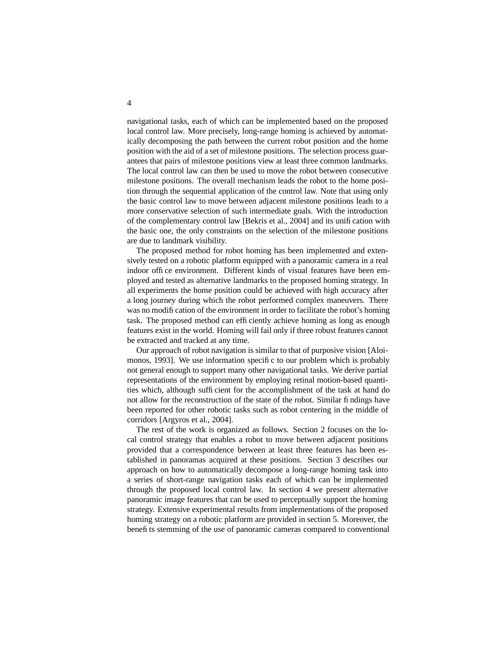navigational tasks, each of which can be implemented based on the proposed local control law. More precisely, long-range homing is achieved by automatically decomposing the path between the current robot position and the home position with the aid of a set of milestone positions. The selection process guarantees that pairs of milestone positions view at least three common landmarks. The local control law can then be used to move the robot between consecutive milestone positions. The overall mechanism leads the robot to the home position through the sequential application of the control law. Note that using only the basic control law to move between adjacent milestone positions leads to a more conservative selection of such intermediate goals. With the introduction of the complementary control law [Bekris et al., 2004] and its unification with the basic one, the only constraints on the selection of the milestone positions are due to landmark visibility.

The proposed method for robot homing has been implemented and extensively tested on a robotic platform equipped with a panoramic camera in a real indoor office environment. Different kinds of visual features have been employed and tested as alternative landmarks to the proposed homing strategy. In all experiments the home position could be achieved with high accuracy after a long journey during which the robot performed complex maneuvers. There was no modification of the environment in order to facilitate the robot's homing task. The proposed method can efficiently achieve homing as long as enough features exist in the world. Homing will fail only if three robust features cannot be extracted and tracked at any time.

Our approach of robot navigation is similar to that of purposive vision [Aloimonos, 1993]. We use information specific to our problem which is probably not general enough to support many other navigational tasks. We derive partial representations of the environment by employing retinal motion-based quantities which, although sufficient for the accomplishment of the task at hand do not allow for the reconstruction of the state of the robot. Similar findings have been reported for other robotic tasks such as robot centering in the middle of corridors [Argyros et al., 2004].

The rest of the work is organized as follows. Section 2 focuses on the local control strategy that enables a robot to move between adjacent positions provided that a correspondence between at least three features has been established in panoramas acquired at these positions. Section 3 describes our approach on how to automatically decompose a long-range homing task into a series of short-range navigation tasks each of which can be implemented through the proposed local control law. In section 4 we present alternative panoramic image features that can be used to perceptually support the homing strategy. Extensive experimental results from implementations of the proposed homing strategy on a robotic platform are provided in section 5. Moreover, the benefits stemming of the use of panoramic cameras compared to conventional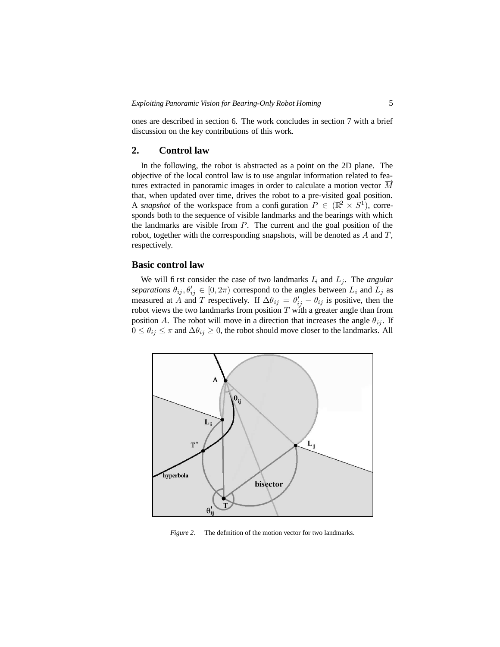ones are described in section 6. The work concludes in section 7 with a brief discussion on the key contributions of this work.

#### **2. Control law**

In the following, the robot is abstracted as a point on the 2D plane. The objective of the local control law is to use angular information related to features extracted in panoramic images in order to calculate a motion vector  $\vec{M}$ that, when updated over time, drives the robot to a pre-visited goal position. A *snapshot* of the workspace from a configuration  $P \in (\mathbb{R}^2 \times S^1)$ , corresponds both to the sequence of visible landmarks and the bearings with which the landmarks are visible from  $P$ . The current and the goal position of the robot, together with the corresponding snapshots, will be denoted as  $A$  and  $T$ , respectively.

### **Basic control law**

We will first consider the case of two landmarks  $L_i$  and  $L_j$ . The *angular separations*  $\theta_{ij}, \theta'_{ij} \in [0, 2\pi)$  correspond to the angles between  $L_i$  and  $\tilde{L}_j$  as measured at A and T respectively. If  $\Delta \theta_{ij} = \theta'_{ij} - \theta_{ij}$  is positive, then the robot views the two landmarks from position  $T$  with a greater angle than from position A. The robot will move in a direction that increases the angle  $\theta_{ij}$ . If  $0 \le \theta_{ij} \le \pi$  and  $\Delta \theta_{ij} \ge 0$ , the robot should move closer to the landmarks. All



*Figure 2.* The definition of the motion vector for two landmarks.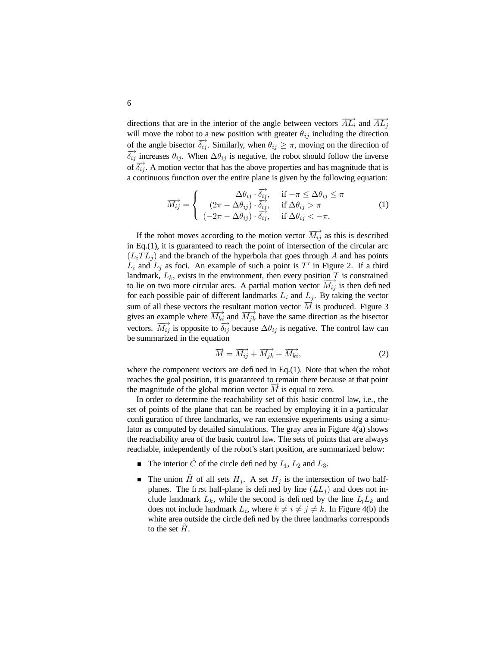directions that are in the interior of the angle between vectors  $\overrightarrow{AL_i}$  and  $\overrightarrow{AL_j}$ will move the robot to a new position with greater  $\theta_{ij}$  including the direction of the angle bisector  $\overline{\delta_{ij}}$ . Similarly, when  $\theta_{ij} \geq \pi$ , moving on the direction of  $\overrightarrow{\delta_{ij}}$  increases  $\theta_{ij}$ . When  $\Delta \theta_{ij}$  is negative, the robot should follow the inverse of  $\overrightarrow{\delta_{ij}}$ . A motion vector that has the above properties and has magnitude that is a continuous function over the entire plane is given by the following equation:

$$
\overrightarrow{M_{ij}} = \begin{cases}\n\Delta \theta_{ij} \cdot \overrightarrow{\delta_{ij}}, & \text{if } -\pi \leq \Delta \theta_{ij} \leq \pi \\
(2\pi - \Delta \theta_{ij}) \cdot \overrightarrow{\delta_{ij}}, & \text{if } \Delta \theta_{ij} > \pi \\
(-2\pi - \Delta \theta_{ij}) \cdot \overrightarrow{\delta_{ij}}, & \text{if } \Delta \theta_{ij} < -\pi.\n\end{cases}
$$
\n(1)

If the robot moves according to the motion vector  $\overrightarrow{M_{ij}}$  as this is described in Eq.(1), it is guaranteed to reach the point of intersection of the circular arc  $(L_iTL_j)$  and the branch of the hyperbola that goes through A and has points  $\hat{L}_i$  and  $\hat{L}_j$  as foci. An example of such a point is  $T'$  in Figure 2. If a third landmark,  $L_k$ , exists in the environment, then every position  $T$  is constrained to lie on two more circular arcs. A partial motion vector  $\overrightarrow{M_{ij}}$  is then defined for each possible pair of different landmarks  $L_i$  and  $L_j$ . By taking the vector sum of all these vectors the resultant motion vector  $\overrightarrow{M}$  is produced. Figure 3 gives an example where  $\overline{M_{ki}}$  and  $\overline{M_{jk}}$  have the same direction as the bisector vectors.  $\overrightarrow{M_{ij}}$  is opposite to  $\overrightarrow{\delta_{ij}}$  because  $\Delta \theta_{ij}$  is negative. The control law can be summarized in the equation

$$
\overrightarrow{M} = \overrightarrow{M_{ij}} + \overrightarrow{M_{jk}} + \overrightarrow{M_{ki}},
$$
\n(2)

where the component vectors are defined in Eq.(1). Note that when the robot reaches the goal position, it is guaranteed to remain there because at that point the magnitude of the global motion vector  $\vec{M}$  is equal to zero.

In order to determine the reachability set of this basic control law, i.e., the set of points of the plane that can be reached by employing it in a particular configuration of three landmarks, we ran extensive experiments using a simulator as computed by detailed simulations. The gray area in Figure 4(a) shows the reachability area of the basic control law. The sets of points that are always reachable, independently of the robot's start position, are summarized below:

- The interior  $\hat{C}$  of the circle defined by  $L_1$ ,  $L_2$  and  $L_3$ .
- The union H of all sets  $H_j$ . A set  $H_j$  is the intersection of two half- $\blacksquare$ planes. The first half-plane is defined by line  $(L<sub>i</sub>L<sub>j</sub>)$  and does not include landmark  $L_k$ , while the second is defined by the line  $L_jL_k$  and does not include landmark  $L_i$ , where  $k \neq i \neq j \neq k$ . In Figure 4(b) the white area outside the circle defined by the three landmarks corresponds to the set  $H$ .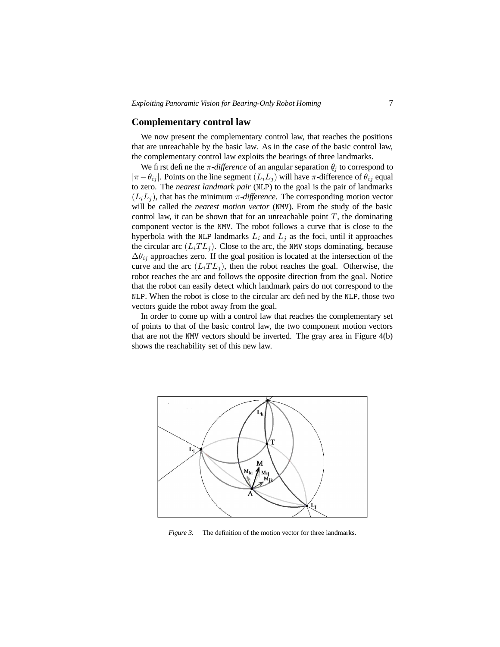#### **Complementary control law**

We now present the complementary control law, that reaches the positions that are unreachable by the basic law. As in the case of the basic control law, the complementary control law exploits the bearings of three landmarks.

We first define the  $\pi$ -difference of an angular separation  $\theta_i$  to correspond to  $|\pi - \theta_{ij}|$ . Points on the line segment  $(L_i L_j)$  will have  $\pi$ -difference of  $\theta_{ij}$  equal to zero. The *nearest landmark pair* (NLP) to the goal is the pair of landmarks  $(L<sub>i</sub>L<sub>j</sub>)$ , that has the minimum  $\pi$ -difference. The corresponding motion vector will be called the *nearest motion vector* (NMV). From the study of the basic control law, it can be shown that for an unreachable point  $T$ , the dominating component vector is the NMV. The robot follows a curve that is close to the hyperbola with the NLP landmarks  $L_i$  and  $L_j$  as the foci, until it approaches the circular arc  $(L_iTL_j)$ . Close to the arc, the NMV stops dominating, because  $\Delta\theta_{ij}$  approaches zero. If the goal position is located at the intersection of the curve and the arc  $(L_iTL_i)$ , then the robot reaches the goal. Otherwise, the robot reaches the arc and follows the opposite direction from the goal. Notice that the robot can easily detect which landmark pairs do not correspond to the NLP. When the robot is close to the circular arc defined by the NLP, those two vectors guide the robot away from the goal.

In order to come up with a control law that reaches the complementary set of points to that of the basic control law, the two component motion vectors that are not the NMV vectors should be inverted. The gray area in Figure 4(b) shows the reachability set of this new law.



*Figure 3.* The definition of the motion vector for three landmarks.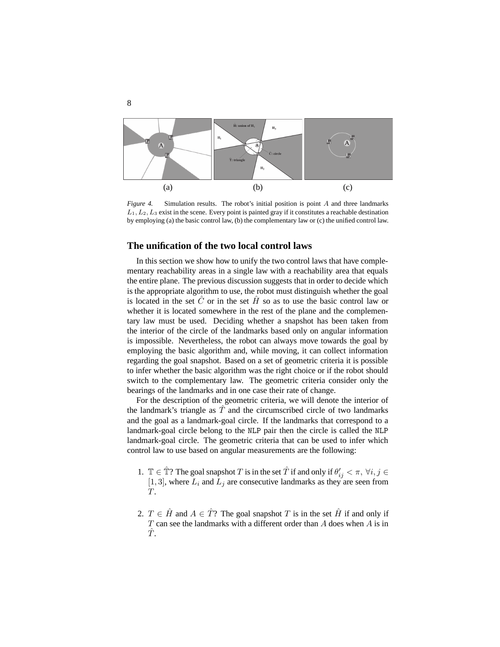

*Figure 4.* Simulation results. The robot's initial position is point A and three landmarks  $L_1, L_2, L_3$  exist in the scene. Every point is painted gray if it constitutes a reachable destination by employing (a) the basic control law, (b) the complementary law or (c) the unified control law.

#### **The unification of the two local control laws**

In this section we show how to unify the two control laws that have complementary reachability areas in a single law with a reachability area that equals the entire plane. The previous discussion suggests that in order to decide which is the appropriate algorithm to use, the robot must distinguish whether the goal is located in the set  $\hat{C}$  or in the set  $\hat{H}$  so as to use the basic control law or whether it is located somewhere in the rest of the plane and the complementary law must be used. Deciding whether a snapshot has been taken from the interior of the circle of the landmarks based only on angular information is impossible. Nevertheless, the robot can always move towards the goal by employing the basic algorithm and, while moving, it can collect information regarding the goal snapshot. Based on a set of geometric criteria it is possible to infer whether the basic algorithm was the right choice or if the robot should switch to the complementary law. The geometric criteria consider only the bearings of the landmarks and in one case their rate of change.

For the description of the geometric criteria, we will denote the interior of the landmark's triangle as  $\hat{T}$  and the circumscribed circle of two landmarks and the goal as a landmark-goal circle. If the landmarks that correspond to a landmark-goal circle belong to the NLP pair then the circle is called the NLP landmark-goal circle. The geometric criteria that can be used to infer which control law to use based on angular measurements are the following:

- 1.  $\mathbb{T} \in \hat{\mathbb{T}}$ ? The goal snapshot T is in the set  $\hat{T}$  if and only if  $\theta'_{ij} < \pi$ ,  $\forall i, j \in$ [1, 3], where  $L_i$  and  $L_j$  are consecutive landmarks as they are seen from  $T$
- 2.  $T \in \hat{H}$  and  $A \in \hat{T}$ ? The goal snapshot T is in the set  $\hat{H}$  if and only if  $T$  can see the landmarks with a different order than  $A$  does when  $A$  is in  $\hat{T}$ .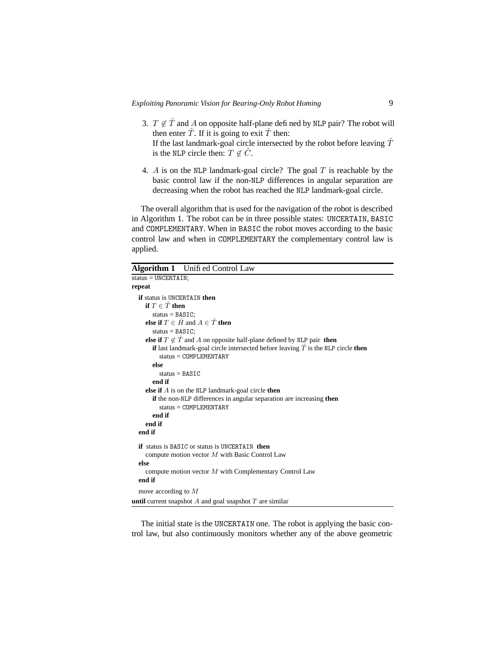3.  $T \notin \hat{T}$  and A on opposite half-plane defined by NLP pair? The robot will then enter  $\hat{T}$ . If it is going to exit  $\hat{T}$  then: If the last landmark-goal circle intersected by the robot before leaving  $\hat{T}$ 

is the NLP circle then:  $T \notin \hat{C}$ . 4. A is on the NLP landmark-goal circle? The goal  $T$  is reachable by the

basic control law if the non-NLP differences in angular separation are decreasing when the robot has reached the NLP landmark-goal circle.

The overall algorithm that is used for the navigation of the robot is described in Algorithm 1. The robot can be in three possible states: UNCERTAIN, BASIC and COMPLEMENTARY. When in BASIC the robot moves according to the basic control law and when in COMPLEMENTARY the complementary control law is applied.

**Algorithm 1** Unified Control Law  $status =$  UNCERTAIN; **repeat if** status is UNCERTAIN **then if**  $T \in \hat{T}$  **then**  $status = BASIC;$ **else if**  $T \in \hat{H}$  and  $A \in \hat{T}$  **then** status =  $BASIC;$ **else if**  $T \notin \hat{T}$  and A on opposite half-plane defined by NLP pair **then if** last landmark-goal circle intersected before leaving  $\hat{T}$  is the NLP circle **then** status = COMPLEMENTARY **else** status = BASIC **end if else if** A is on the NLP landmark-goal circle **then if** the non-NLP differences in angular separation are increasing **then** status = COMPLEMENTARY **end if end if end if if** status is BASIC or status is UNCERTAIN **then** compute motion vector M with Basic Control Law **else** compute motion vector M with Complementary Control Law **end if** move according to M **until** current snapshot A and goal snapshot T are similar

The initial state is the UNCERTAIN one. The robot is applying the basic control law, but also continuously monitors whether any of the above geometric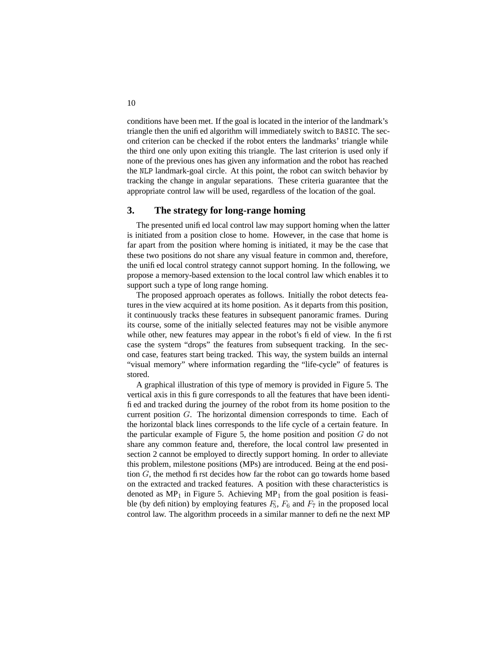conditions have been met. If the goal is located in the interior of the landmark's triangle then the unified algorithm will immediately switch to BASIC. The second criterion can be checked if the robot enters the landmarks' triangle while the third one only upon exiting this triangle. The last criterion is used only if none of the previous ones has given any information and the robot has reached the NLP landmark-goal circle. At this point, the robot can switch behavior by tracking the change in angular separations. These criteria guarantee that the appropriate control law will be used, regardless of the location of the goal.

#### **3. The strategy for long-range homing**

The presented unified local control law may support homing when the latter is initiated from a position close to home. However, in the case that home is far apart from the position where homing is initiated, it may be the case that these two positions do not share any visual feature in common and, therefore, the unified local control strategy cannot support homing. In the following, we propose a memory-based extension to the local control law which enables it to support such a type of long range homing.

The proposed approach operates as follows. Initially the robot detects features in the view acquired at its home position. As it departs from this position, it continuously tracks these features in subsequent panoramic frames. During its course, some of the initially selected features may not be visible anymore while other, new features may appear in the robot's field of view. In the first case the system "drops" the features from subsequent tracking. In the second case, features start being tracked. This way, the system builds an internal "visual memory" where information regarding the "life-cycle" of features is stored.

A graphical illustration of this type of memory is provided in Figure 5. The vertical axis in this figure corresponds to all the features that have been identified and tracked during the journey of the robot from its home position to the current position G. The horizontal dimension corresponds to time. Each of the horizontal black lines corresponds to the life cycle of a certain feature. In the particular example of Figure 5, the home position and position  $G$  do not share any common feature and, therefore, the local control law presented in section 2 cannot be employed to directly support homing. In order to alleviate this problem, milestone positions (MPs) are introduced. Being at the end position G, the method first decides how far the robot can go towards home based on the extracted and tracked features. A position with these characteristics is denoted as  $MP_1$  in Figure 5. Achieving  $MP_1$  from the goal position is feasible (by definition) by employing features  $F_5$ ,  $F_6$  and  $F_7$  in the proposed local control law. The algorithm proceeds in a similar manner to define the next MP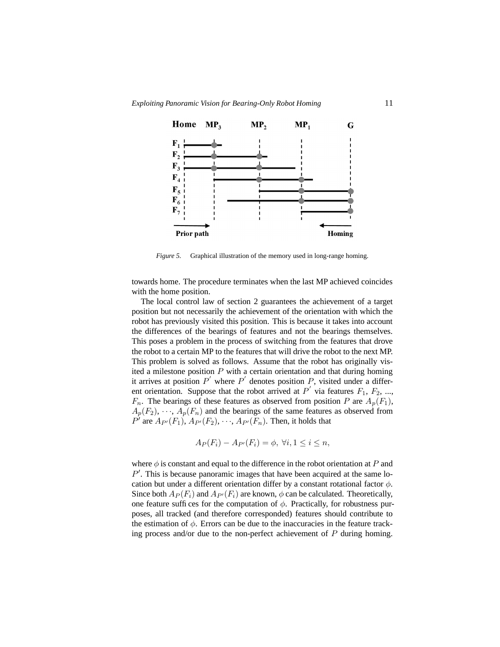

*Figure 5.* Graphical illustration of the memory used in long-range homing.

towards home. The procedure terminates when the last MP achieved coincides with the home position.

The local control law of section 2 guarantees the achievement of a target position but not necessarily the achievement of the orientation with which the robot has previously visited this position. This is because it takes into account the differences of the bearings of features and not the bearings themselves. This poses a problem in the process of switching from the features that drove the robot to a certain MP to the features that will drive the robot to the next MP. This problem is solved as follows. Assume that the robot has originally visited a milestone position  $P$  with a certain orientation and that during homing it arrives at position  $P'$  where  $P'$  denotes position  $P$ , visited under a different orientation. Suppose that the robot arrived at  $P'$  via features  $F_1$ ,  $F_2$ , ...,  $F_n$ . The bearings of these features as observed from position P are  $A_p(F_1)$ ,  $A_p(F_2), \dots, A_p(F_n)$  and the bearings of the same features as observed from  $P'$  are  $A_{P'}(F_1), A_{P'}(F_2), \cdots, A_{P'}(F_n)$ . Then, it holds that

$$
A_P(F_i) - A_{P'}(F_i) = \phi, \ \forall i, 1 \leq i \leq n,
$$

where  $\phi$  is constant and equal to the difference in the robot orientation at P and  $P'$ . This is because panoramic images that have been acquired at the same location but under a different orientation differ by a constant rotational factor  $\phi$ . Since both  $A_P(F_i)$  and  $A_{P'}(F_i)$  are known,  $\phi$  can be calculated. Theoretically, one feature suffices for the computation of  $\phi$ . Practically, for robustness purposes, all tracked (and therefore corresponded) features should contribute to the estimation of  $\phi$ . Errors can be due to the inaccuracies in the feature tracking process and/or due to the non-perfect achievement of  $P$  during homing.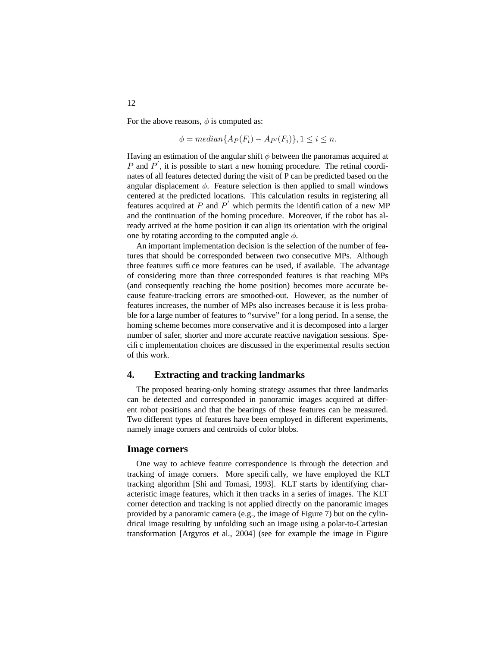For the above reasons,  $\phi$  is computed as:

$$
\phi = \text{median}\{A_P(F_i) - A_{P'}(F_i)\}, 1 \leq i \leq n.
$$

Having an estimation of the angular shift  $\phi$  between the panoramas acquired at P and  $P'$ , it is possible to start a new homing procedure. The retinal coordinates of all features detected during the visit of P can be predicted based on the angular displacement  $\phi$ . Feature selection is then applied to small windows centered at the predicted locations. This calculation results in registering all features acquired at  $P$  and  $P'$  which permits the identification of a new MP and the continuation of the homing procedure. Moreover, if the robot has already arrived at the home position it can align its orientation with the original one by rotating according to the computed angle  $\phi$ .

An important implementation decision is the selection of the number of features that should be corresponded between two consecutive MPs. Although three features suffice more features can be used, if available. The advantage of considering more than three corresponded features is that reaching MPs (and consequently reaching the home position) becomes more accurate because feature-tracking errors are smoothed-out. However, as the number of features increases, the number of MPs also increases because it is less probable for a large number of features to "survive" for a long period. In a sense, the homing scheme becomes more conservative and it is decomposed into a larger number of safer, shorter and more accurate reactive navigation sessions. Specific implementation choices are discussed in the experimental results section of this work.

#### **4. Extracting and tracking landmarks**

The proposed bearing-only homing strategy assumes that three landmarks can be detected and corresponded in panoramic images acquired at different robot positions and that the bearings of these features can be measured. Two different types of features have been employed in different experiments, namely image corners and centroids of color blobs.

#### **Image corners**

One way to achieve feature correspondence is through the detection and tracking of image corners. More specifically, we have employed the KLT tracking algorithm [Shi and Tomasi, 1993]. KLT starts by identifying characteristic image features, which it then tracks in a series of images. The KLT corner detection and tracking is not applied directly on the panoramic images provided by a panoramic camera (e.g., the image of Figure 7) but on the cylindrical image resulting by unfolding such an image using a polar-to-Cartesian transformation [Argyros et al., 2004] (see for example the image in Figure

12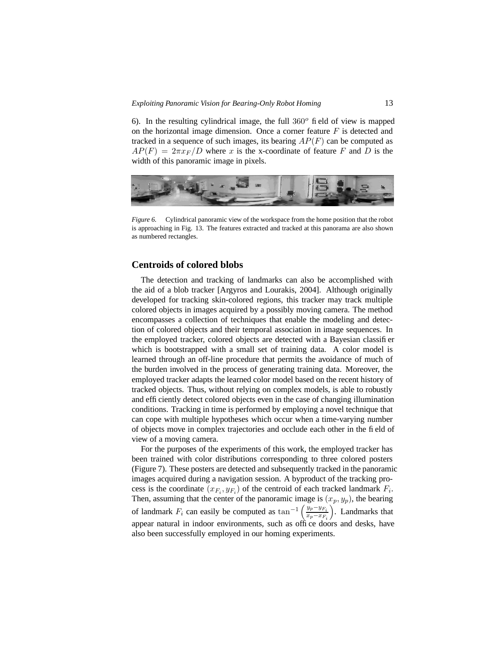6). In the resulting cylindrical image, the full  $360^\circ$  field of view is mapped on the horizontal image dimension. Once a corner feature  $F$  is detected and tracked in a sequence of such images, its bearing  $AP(F)$  can be computed as  $AP(F) = 2\pi x_F/D$  where x is the x-coordinate of feature F and D is the width of this panoramic image in pixels.

![](_page_12_Picture_2.jpeg)

*Figure 6.* Cylindrical panoramic view of the workspace from the home position that the robot is approaching in Fig. 13. The features extracted and tracked at this panorama are also shown as numbered rectangles.

#### **Centroids of colored blobs**

The detection and tracking of landmarks can also be accomplished with the aid of a blob tracker [Argyros and Lourakis, 2004]. Although originally developed for tracking skin-colored regions, this tracker may track multiple colored objects in images acquired by a possibly moving camera. The method encompasses a collection of techniques that enable the modeling and detection of colored objects and their temporal association in image sequences. In the employed tracker, colored objects are detected with a Bayesian classifier which is bootstrapped with a small set of training data. A color model is learned through an off-line procedure that permits the avoidance of much of the burden involved in the process of generating training data. Moreover, the employed tracker adapts the learned color model based on the recent history of tracked objects. Thus, without relying on complex models, is able to robustly and efficiently detect colored objects even in the case of changing illumination conditions. Tracking in time is performed by employing a novel technique that can cope with multiple hypotheses which occur when a time-varying number of objects move in complex trajectories and occlude each other in the field of view of a moving camera.

For the purposes of the experiments of this work, the employed tracker has been trained with color distributions corresponding to three colored posters (Figure 7). These posters are detected and subsequently tracked in the panoramic images acquired during a navigation session. A byproduct of the tracking process is the coordinate  $(x_{F_i}, y_{F_i})$  of the centroid of each tracked landmark  $F_i$ . Then, assuming that the center of the panoramic image is  $(x_p, y_p)$ , the bearing of landmark  $F_i$  can easily be computed as tan<sup>-1</sup>  $\left(\frac{y_p - y_{F_i}}{x_p - x_F}\right)$  $\frac{y_p - y_{F_i}}{x_p - x_{F_i}}$ ). Landmarks that appear natural in indoor environments, such as office doors and desks, have also been successfully employed in our homing experiments.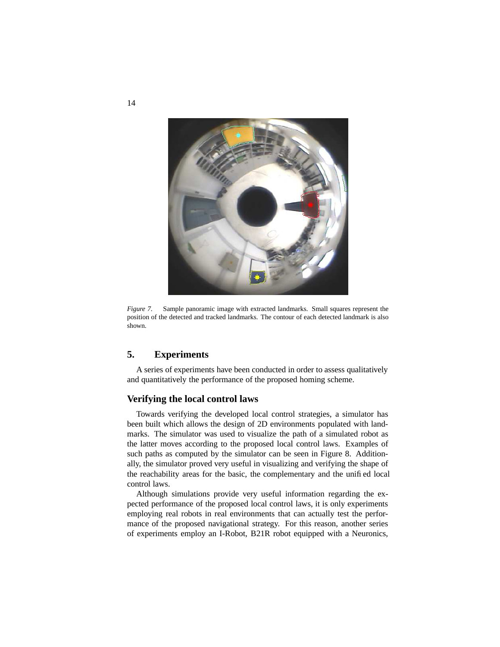![](_page_13_Picture_0.jpeg)

*Figure 7.* Sample panoramic image with extracted landmarks. Small squares represent the position of the detected and tracked landmarks. The contour of each detected landmark is also shown.

# **5. Experiments**

A series of experiments have been conducted in order to assess qualitatively and quantitatively the performance of the proposed homing scheme.

### **Verifying the local control laws**

Towards verifying the developed local control strategies, a simulator has been built which allows the design of 2D environments populated with landmarks. The simulator was used to visualize the path of a simulated robot as the latter moves according to the proposed local control laws. Examples of such paths as computed by the simulator can be seen in Figure 8. Additionally, the simulator proved very useful in visualizing and verifying the shape of the reachability areas for the basic, the complementary and the unified local control laws.

Although simulations provide very useful information regarding the expected performance of the proposed local control laws, it is only experiments employing real robots in real environments that can actually test the performance of the proposed navigational strategy. For this reason, another series of experiments employ an I-Robot, B21R robot equipped with a Neuronics,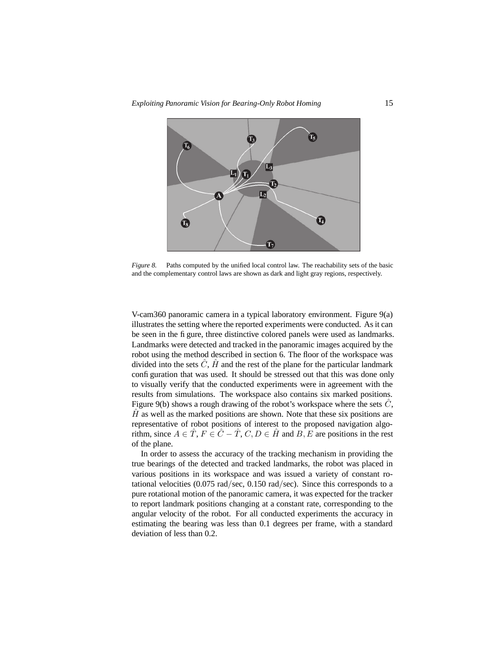![](_page_14_Figure_1.jpeg)

*Figure 8.* Paths computed by the unified local control law. The reachability sets of the basic and the complementary control laws are shown as dark and light gray regions, respectively.

V-cam360 panoramic camera in a typical laboratory environment. Figure 9(a) illustrates the setting where the reported experiments were conducted. As it can be seen in the figure, three distinctive colored panels were used as landmarks. Landmarks were detected and tracked in the panoramic images acquired by the robot using the method described in section 6. The floor of the workspace was divided into the sets  $\hat{C}$ ,  $\hat{H}$  and the rest of the plane for the particular landmark configuration that was used. It should be stressed out that this was done only to visually verify that the conducted experiments were in agreement with the results from simulations. The workspace also contains six marked positions. Figure 9(b) shows a rough drawing of the robot's workspace where the sets  $\hat{C}$ ,  $H$  as well as the marked positions are shown. Note that these six positions are representative of robot positions of interest to the proposed navigation algorithm, since  $A \in \hat{T}$ ,  $F \in \hat{C} - \hat{T}$ ,  $C, D \in \hat{H}$  and  $B, E$  are positions in the rest of the plane.

In order to assess the accuracy of the tracking mechanism in providing the true bearings of the detected and tracked landmarks, the robot was placed in various positions in its workspace and was issued a variety of constant rotational velocities (0.075 rad/sec, 0.150 rad/sec). Since this corresponds to a pure rotational motion of the panoramic camera, it was expected for the tracker to report landmark positions changing at a constant rate, corresponding to the angular velocity of the robot. For all conducted experiments the accuracy in estimating the bearing was less than 0.1 degrees per frame, with a standard deviation of less than 0.2.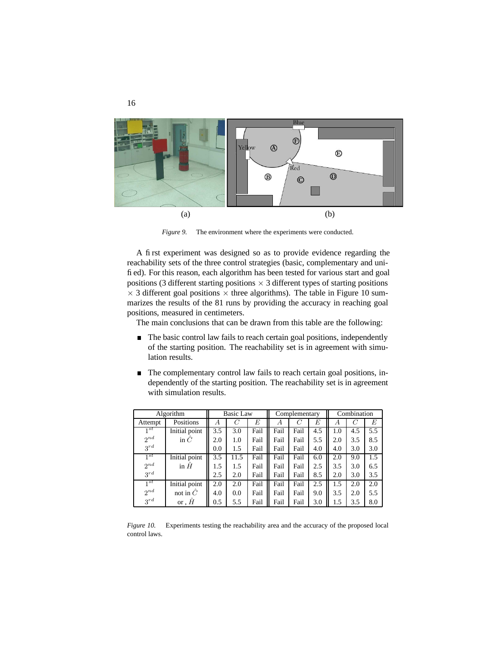![](_page_15_Figure_0.jpeg)

*Figure 9.* The environment where the experiments were conducted.

A first experiment was designed so as to provide evidence regarding the reachability sets of the three control strategies (basic, complementary and unified). For this reason, each algorithm has been tested for various start and goal positions (3 different starting positions  $\times$  3 different types of starting positions  $\times$  3 different goal positions  $\times$  three algorithms). The table in Figure 10 summarizes the results of the 81 runs by providing the accuracy in reaching goal positions, measured in centimeters.

The main conclusions that can be drawn from this table are the following:

- $\blacksquare$ The basic control law fails to reach certain goal positions, independently of the starting position. The reachability set is in agreement with simulation results.
- $\blacksquare$ The complementary control law fails to reach certain goal positions, independently of the starting position. The reachability set is in agreement with simulation results.

| Algorithm |                    | <b>Basic Law</b> |      |      | Complementary |      |     | Combination |     |     |
|-----------|--------------------|------------------|------|------|---------------|------|-----|-------------|-----|-----|
| Attempt   | Positions          | А                | C    | E    | А             | C    | E   | A           | C   | Е   |
| 1st       | Initial point      | 3.5              | 3.0  | Fail | Fail          | Fail | 4.5 | 1.0         | 4.5 | 5.5 |
| 2nd       | in $C$             | 2.0              | 1.0  | Fail | Fail          | Fail | 5.5 | 2.0         | 3.5 | 8.5 |
| $3^{rd}$  |                    | 0.0              | 1.5  | Fail | Fail          | Fail | 4.0 | 4.0         | 3.0 | 3.0 |
| 1st       | Initial point      | 3.5              | 11.5 | Fail | Fail          | Fail | 6.0 | 2.0         | 9.0 | 1.5 |
| $2^{nd}$  | in $H$             | 1.5              | 1.5  | Fail | Fail          | Fail | 2.5 | 3.5         | 3.0 | 6.5 |
| $3^{rd}$  |                    | 2.5              | 2.0  | Fail | Fail          | Fail | 8.5 | 2.0         | 3.0 | 3.5 |
| $1^{st}$  | Initial point      | 2.0              | 2.0  | Fail | Fail          | Fail | 2.5 | 1.5         | 2.0 | 2.0 |
| $2^{nd}$  | not in $\tilde{C}$ | 4.0              | 0.0  | Fail | Fail          | Fail | 9.0 | 3.5         | 2.0 | 5.5 |
| $3^{rd}$  | or, $H$            | 0.5              | 5.5  | Fail | Fail          | Fail | 3.0 | 1.5         | 3.5 | 8.0 |

*Figure 10.* Experiments testing the reachability area and the accuracy of the proposed local control laws.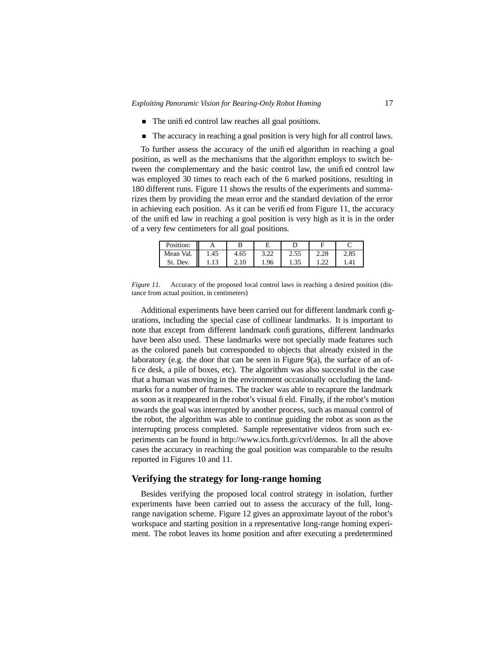*Exploiting Panoramic Vision for Bearing-Only Robot Homing* 17

- The unified control law reaches all goal positions.
- The accuracy in reaching a goal position is very high for all control laws.

To further assess the accuracy of the unified algorithm in reaching a goal position, as well as the mechanisms that the algorithm employs to switch between the complementary and the basic control law, the unified control law was employed 30 times to reach each of the 6 marked positions, resulting in 180 different runs. Figure 11 shows the results of the experiments and summarizes them by providing the mean error and the standard deviation of the error in achieving each position. As it can be verified from Figure 11, the accuracy of the unified law in reaching a goal position is very high as it is in the order of a very few centimeters for all goal positions.

| Position: |     |      |                       |                |      |               |
|-----------|-----|------|-----------------------|----------------|------|---------------|
| Mean Val. | .45 | 4.65 | $22^{\circ}$<br>ے ۔۔۔ | つ くく<br>ر ر.ر∠ | 2.28 | 2.85          |
| St. Dev.  |     | 2.10 | 1.96                  | 1.35           | .    | $\mathcal{A}$ |

*Figure 11.* Accuracy of the proposed local control laws in reaching a desired position (distance from actual position, in centimeters)

Additional experiments have been carried out for different landmark configurations, including the special case of collinear landmarks. It is important to note that except from different landmark configurations, different landmarks have been also used. These landmarks were not specially made features such as the colored panels but corresponded to objects that already existed in the laboratory (e.g. the door that can be seen in Figure 9(a), the surface of an office desk, a pile of boxes, etc). The algorithm was also successful in the case that a human was moving in the environment occasionally occluding the landmarks for a number of frames. The tracker was able to recapture the landmark as soon as it reappeared in the robot's visual field. Finally, if the robot's motion towards the goal was interrupted by another process, such as manual control of the robot, the algorithm was able to continue guiding the robot as soon as the interrupting process completed. Sample representative videos from such experiments can be found in http://www.ics.forth.gr/cvrl/demos. In all the above cases the accuracy in reaching the goal position was comparable to the results reported in Figures 10 and 11.

#### **Verifying the strategy for long-range homing**

Besides verifying the proposed local control strategy in isolation, further experiments have been carried out to assess the accuracy of the full, longrange navigation scheme. Figure 12 gives an approximate layout of the robot's workspace and starting position in a representative long-range homing experiment. The robot leaves its home position and after executing a predetermined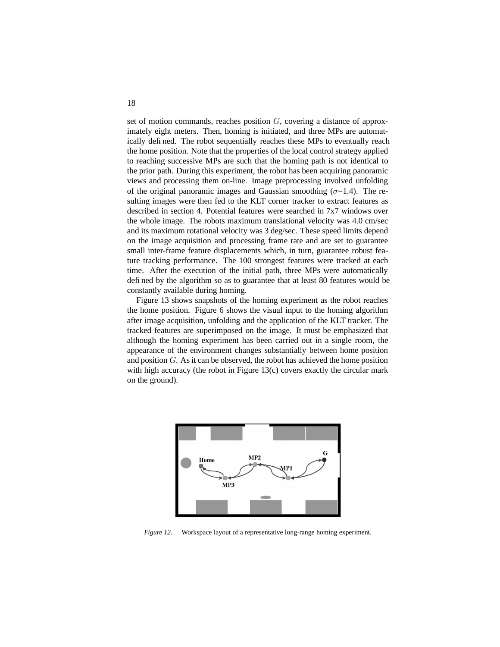set of motion commands, reaches position  $G$ , covering a distance of approximately eight meters. Then, homing is initiated, and three MPs are automatically defined. The robot sequentially reaches these MPs to eventually reach the home position. Note that the properties of the local control strategy applied to reaching successive MPs are such that the homing path is not identical to the prior path. During this experiment, the robot has been acquiring panoramic views and processing them on-line. Image preprocessing involved unfolding of the original panoramic images and Gaussian smoothing ( $\sigma$ =1.4). The resulting images were then fed to the KLT corner tracker to extract features as described in section 4. Potential features were searched in 7x7 windows over the whole image. The robots maximum translational velocity was 4.0 cm/sec and its maximum rotational velocity was 3 deg/sec. These speed limits depend on the image acquisition and processing frame rate and are set to guarantee small inter-frame feature displacements which, in turn, guarantee robust feature tracking performance. The 100 strongest features were tracked at each time. After the execution of the initial path, three MPs were automatically defined by the algorithm so as to guarantee that at least 80 features would be constantly available during homing.

Figure 13 shows snapshots of the homing experiment as the robot reaches the home position. Figure 6 shows the visual input to the homing algorithm after image acquisition, unfolding and the application of the KLT tracker. The tracked features are superimposed on the image. It must be emphasized that although the homing experiment has been carried out in a single room, the appearance of the environment changes substantially between home position and position G. As it can be observed, the robot has achieved the home position with high accuracy (the robot in Figure  $13(c)$  covers exactly the circular mark on the ground).

![](_page_17_Figure_2.jpeg)

*Figure* 12. Workspace layout of a representative long-range homing experiment.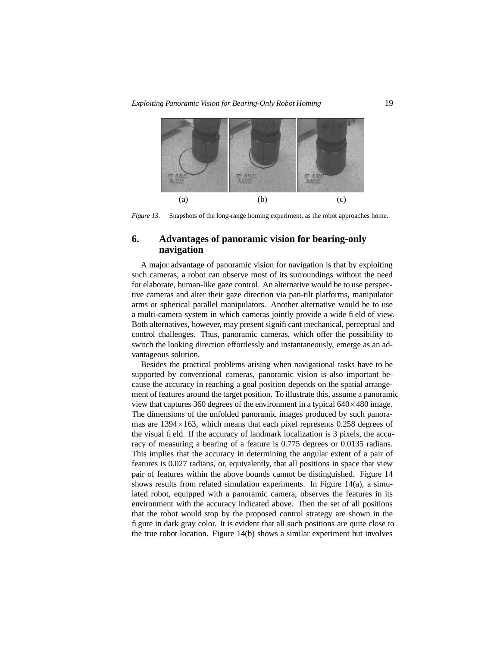![](_page_18_Picture_1.jpeg)

*Figure 13.* Snapshots of the long-range homing experiment, as the robot approaches home.

# **6. Advantages of panoramic vision for bearing-only navigation**

A major advantage of panoramic vision for navigation is that by exploiting such cameras, a robot can observe most of its surroundings without the need for elaborate, human-like gaze control. An alternative would be to use perspective cameras and alter their gaze direction via pan-tilt platforms, manipulator arms or spherical parallel manipulators. Another alternative would be to use a multi-camera system in which cameras jointly provide a wide field of view. Both alternatives, however, may present significant mechanical, perceptual and control challenges. Thus, panoramic cameras, which offer the possibility to switch the looking direction effortlessly and instantaneously, emerge as an advantageous solution.

Besides the practical problems arising when navigational tasks have to be supported by conventional cameras, panoramic vision is also important because the accuracy in reaching a goal position depends on the spatial arrangement of features around the target position. To illustrate this, assume a panoramic view that captures 360 degrees of the environment in a typical  $640\times480$  image. The dimensions of the unfolded panoramic images produced by such panoramas are  $1394\times163$ , which means that each pixel represents 0.258 degrees of the visual field. If the accuracy of landmark localization is 3 pixels, the accuracy of measuring a bearing of a feature is 0.775 degrees or 0.0135 radians. This implies that the accuracy in determining the angular extent of a pair of features is 0.027 radians, or, equivalently, that all positions in space that view pair of features within the above bounds cannot be distinguished. Figure 14 shows results from related simulation experiments. In Figure 14(a), a simulated robot, equipped with a panoramic camera, observes the features in its environment with the accuracy indicated above. Then the set of all positions that the robot would stop by the proposed control strategy are shown in the figure in dark gray color. It is evident that all such positions are quite close to the true robot location. Figure 14(b) shows a similar experiment but involves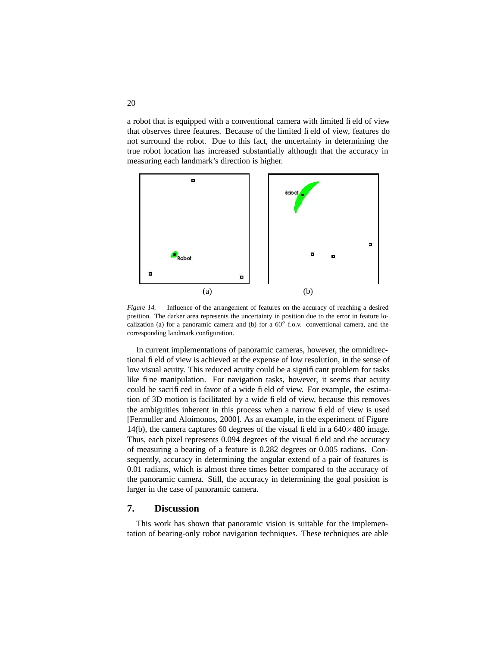a robot that is equipped with a conventional camera with limited field of view that observes three features. Because of the limited field of view, features do not surround the robot. Due to this fact, the uncertainty in determining the true robot location has increased substantially although that the accuracy in measuring each landmark's direction is higher.

![](_page_19_Figure_1.jpeg)

*Figure 14.* Influence of the arrangement of features on the accuracy of reaching a desired position. The darker area represents the uncertainty in position due to the error in feature localization (a) for a panoramic camera and (b) for a  $60^{\circ}$  f.o.v. conventional camera, and the corresponding landmark configuration.

In current implementations of panoramic cameras, however, the omnidirectional field of view is achieved at the expense of low resolution, in the sense of low visual acuity. This reduced acuity could be a significant problem for tasks like fine manipulation. For navigation tasks, however, it seems that acuity could be sacrificed in favor of a wide field of view. For example, the estimation of 3D motion is facilitated by a wide field of view, because this removes the ambiguities inherent in this process when a narrow field of view is used [Fermuller and Aloimonos, 2000]. As an example, in the experiment of Figure 14(b), the camera captures 60 degrees of the visual field in a  $640\times480$  image. Thus, each pixel represents 0.094 degrees of the visual field and the accuracy of measuring a bearing of a feature is 0.282 degrees or 0.005 radians. Consequently, accuracy in determining the angular extend of a pair of features is 0.01 radians, which is almost three times better compared to the accuracy of the panoramic camera. Still, the accuracy in determining the goal position is larger in the case of panoramic camera.

### **7. Discussion**

This work has shown that panoramic vision is suitable for the implementation of bearing-only robot navigation techniques. These techniques are able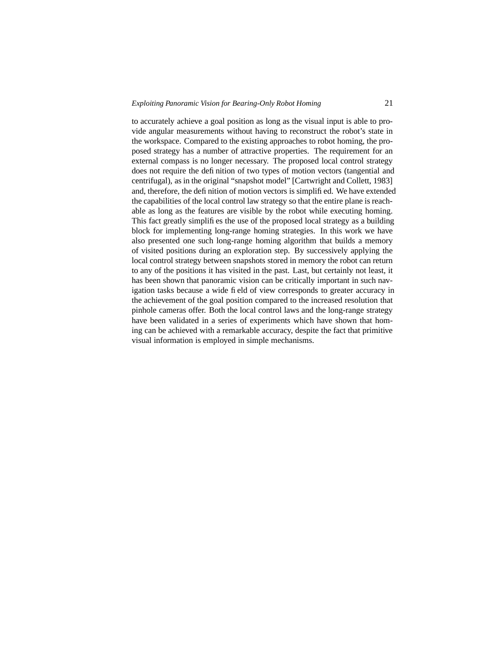to accurately achieve a goal position as long as the visual input is able to provide angular measurements without having to reconstruct the robot's state in the workspace. Compared to the existing approaches to robot homing, the proposed strategy has a number of attractive properties. The requirement for an external compass is no longer necessary. The proposed local control strategy does not require the definition of two types of motion vectors (tangential and centrifugal), as in the original "snapshot model" [Cartwright and Collett, 1983] and, therefore, the definition of motion vectors is simplified. We have extended the capabilities of the local control law strategy so that the entire plane is reachable as long as the features are visible by the robot while executing homing. This fact greatly simplifies the use of the proposed local strategy as a building block for implementing long-range homing strategies. In this work we have also presented one such long-range homing algorithm that builds a memory of visited positions during an exploration step. By successively applying the local control strategy between snapshots stored in memory the robot can return to any of the positions it has visited in the past. Last, but certainly not least, it has been shown that panoramic vision can be critically important in such navigation tasks because a wide field of view corresponds to greater accuracy in the achievement of the goal position compared to the increased resolution that pinhole cameras offer. Both the local control laws and the long-range strategy have been validated in a series of experiments which have shown that homing can be achieved with a remarkable accuracy, despite the fact that primitive visual information is employed in simple mechanisms.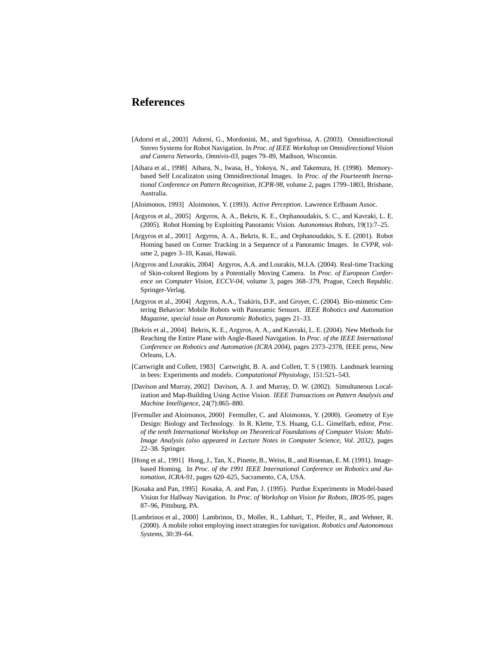# **References**

- [Adorni et al., 2003] Adorni, G., Mordonini, M., and Sgorbissa, A. (2003). Omnidirectional Stereo Systems for Robot Navigation. In *Proc. of IEEE Workshop on Omnidirectional Vision and Camera Networks, Omnivis-03*, pages 79–89, Madison, Wisconsin.
- [Aihara et al., 1998] Aihara, N., Iwasa, H., Yokoya, N., and Takemura, H. (1998). Memorybased Self Localizaton using Omnidirectional Images. In *Proc. of the Fourteenth Inernational Conference on Pattern Recognition, ICPR-98*, volume 2, pages 1799–1803, Brisbane, Australia.
- [Aloimonos, 1993] Aloimonos, Y. (1993). *Active Perception*. Lawrence Erlbaum Assoc.
- [Argyros et al., 2005] Argyros, A. A., Bekris, K. E., Orphanoudakis, S. C., and Kavraki, L. E. (2005). Robot Homing by Exploiting Panoramic Vision. *Autonomous Robots*, 19(1):7–25.
- [Argyros et al., 2001] Argyros, A. A., Bekris, K. E., and Orphanoudakis, S. E. (2001). Robot Homing based on Corner Tracking in a Sequence of a Panoramic Images. In *CVPR*, volume 2, pages 3–10, Kauai, Hawaii.
- [Argyros and Lourakis, 2004] Argyros, A.A. and Lourakis, M.I.A. (2004). Real-time Tracking of Skin-colored Regions by a Potentially Moving Camera. In *Proc. of European Conference on Computer Vision, ECCV-04*, volume 3, pages 368–379, Prague, Czech Republic. Springer-Verlag.
- [Argyros et al., 2004] Argyros, A.A., Tsakiris, D.P., and Groyer, C. (2004). Bio-mimetic Centering Behavior: Mobile Robots with Panoramic Sensors. *IEEE Robotics and Automation Magazine, special issue on Panoramic Robotics*, pages 21–33.
- [Bekris et al., 2004] Bekris, K. E., Argyros, A. A., and Kavraki, L. E. (2004). New Methods for Reaching the Entire Plane with Angle-Based Navigation. In *Proc. of the IEEE International Conference on Robotics and Automation (ICRA 2004)*, pages 2373–2378, IEEE press, New Orleans, LA.
- [Cartwright and Collett, 1983] Cartwright, B. A. and Collett, T. S (1983). Landmark learning in bees: Experiments and models. *Computational Physiology*, 151:521–543.
- [Davison and Murray, 2002] Davison, A. J. and Murray, D. W. (2002). Simultaneous Localization and Map-Building Using Active Vision. *IEEE Transactions on Pattern Analysis and Machine Intelligence*, 24(7):865–880.
- [Fermuller and Aloimonos, 2000] Fermuller, C. and Aloimonos, Y. (2000). Geometry of Eye Design: Biology and Technology. In R. Klette, T.S. Huang, G.L. Gimelfarb, editor, *Proc. of the tenth International Workshop on Theoretical Foundations of Computer Vision: Multi-Image Analysis (also appeared in Lecture Notes in Computer Science, Vol. 2032)*, pages 22–38. Springer.
- [Hong et al., 1991] Hong, J., Tan, X., Pinette, B., Weiss, R., and Riseman, E. M. (1991). Imagebased Homing. In *Proc. of the 1991 IEEE International Conference on Robotics and Automation, ICRA-91*, pages 620–625, Sacramento, CA, USA.
- [Kosaka and Pan, 1995] Kosaka, A. and Pan, J. (1995). Purdue Experiments in Model-based Vision for Hallway Navigation. In *Proc. of Workshop on Vision for Robots, IROS-95*, pages 87–96, Pittsburg, PA.
- [Lambrinos et al., 2000] Lambrinos, D., Moller, R., Labhart, T., Pfeifer, R., and Wehner, R. (2000). A mobile robot employing insectstrategies for navigation. *Robotics and Autonomous Systems*, 30:39–64.